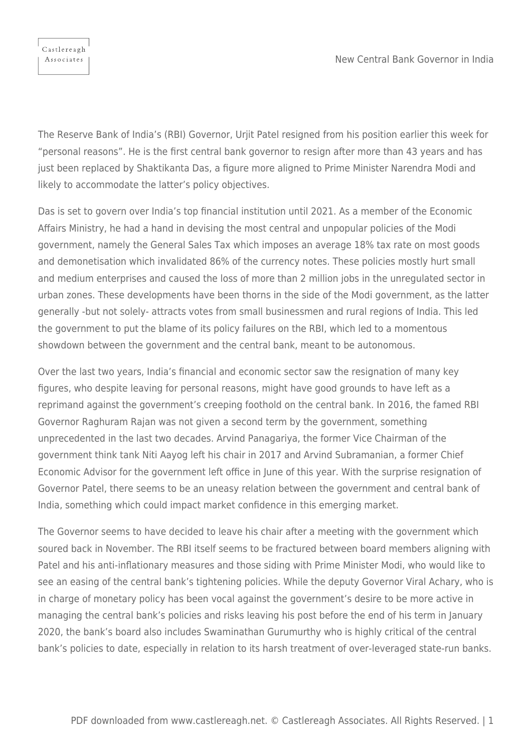Castlereagh Associates

The Reserve Bank of India's (RBI) Governor, Urjit Patel resigned from his position earlier this week for "personal reasons". He is the first central bank governor to resign after more than 43 years and has just been replaced by Shaktikanta Das, a figure more aligned to Prime Minister Narendra Modi and likely to accommodate the latter's policy objectives.

Das is set to govern over India's top financial institution until 2021. As a member of the Economic Affairs Ministry, he had a hand in devising the most central and unpopular policies of the Modi government, namely the General Sales Tax which imposes an average 18% tax rate on most goods and demonetisation which invalidated 86% of the currency notes. These policies mostly hurt small and medium enterprises and caused the loss of more than 2 million jobs in the unregulated sector in urban zones. These developments have been thorns in the side of the Modi government, as the latter generally -but not solely- attracts votes from small businessmen and rural regions of India. This led the government to put the blame of its policy failures on the RBI, which led to a momentous showdown between the government and the central bank, meant to be autonomous.

Over the last two years, India's financial and economic sector saw the resignation of many key figures, who despite leaving for personal reasons, might have good grounds to have left as a reprimand against the government's creeping foothold on the central bank. In 2016, the famed RBI Governor Raghuram Rajan was not given a second term by the government, something unprecedented in the last two decades. Arvind Panagariya, the former Vice Chairman of the government think tank Niti Aayog left his chair in 2017 and Arvind Subramanian, a former Chief Economic Advisor for the government left office in June of this year. With the surprise resignation of Governor Patel, there seems to be an uneasy relation between the government and central bank of India, something which could impact market confidence in this emerging market.

The Governor seems to have decided to leave his chair after a meeting with the government which soured back in November. The RBI itself seems to be fractured between board members aligning with Patel and his anti-inflationary measures and those siding with Prime Minister Modi, who would like to see an easing of the central bank's tightening policies. While the deputy Governor Viral Achary, who is in charge of monetary policy has been vocal against the government's desire to be more active in managing the central bank's policies and risks leaving his post before the end of his term in January 2020, the bank's board also includes Swaminathan Gurumurthy who is highly critical of the central bank's policies to date, especially in relation to its harsh treatment of over-leveraged state-run banks.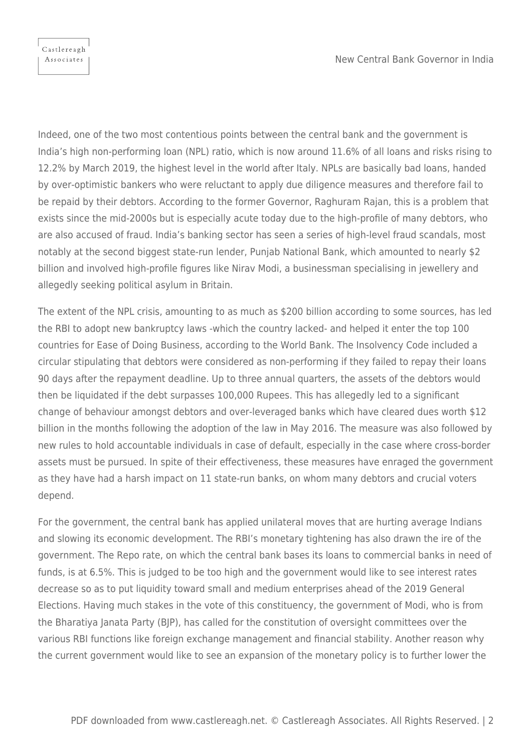Indeed, one of the two most contentious points between the central bank and the government is India's high non-performing loan (NPL) ratio, which is now around 11.6% of all loans and risks rising to 12.2% by March 2019, the highest level in the world after Italy. NPLs are basically bad loans, handed by over-optimistic bankers who were reluctant to apply due diligence measures and therefore fail to be repaid by their debtors. According to the former Governor, Raghuram Rajan, this is a problem that exists since the mid-2000s but is especially acute today due to the high-profile of many debtors, who are also accused of fraud. India's banking sector has seen a series of high-level fraud scandals, most notably at the second biggest state-run lender, Punjab National Bank, which amounted to nearly \$2 billion and involved high-profile figures like Nirav Modi, a businessman specialising in jewellery and allegedly seeking political asylum in Britain.

The extent of the NPL crisis, amounting to as much as \$200 billion according to some sources, has led the RBI to adopt new bankruptcy laws -which the country lacked- and helped it enter the top 100 countries for Ease of Doing Business, according to the World Bank. The Insolvency Code included a circular stipulating that debtors were considered as non-performing if they failed to repay their loans 90 days after the repayment deadline. Up to three annual quarters, the assets of the debtors would then be liquidated if the debt surpasses 100,000 Rupees. This has allegedly led to a significant change of behaviour amongst debtors and over-leveraged banks which have cleared dues worth \$12 billion in the months following the adoption of the law in May 2016. The measure was also followed by new rules to hold accountable individuals in case of default, especially in the case where cross-border assets must be pursued. In spite of their effectiveness, these measures have enraged the government as they have had a harsh impact on 11 state-run banks, on whom many debtors and crucial voters depend.

For the government, the central bank has applied unilateral moves that are hurting average Indians and slowing its economic development. The RBI's monetary tightening has also drawn the ire of the government. The Repo rate, on which the central bank bases its loans to commercial banks in need of funds, is at 6.5%. This is judged to be too high and the government would like to see interest rates decrease so as to put liquidity toward small and medium enterprises ahead of the 2019 General Elections. Having much stakes in the vote of this constituency, the government of Modi, who is from the Bharatiya Janata Party (BJP), has called for the constitution of oversight committees over the various RBI functions like foreign exchange management and financial stability. Another reason why the current government would like to see an expansion of the monetary policy is to further lower the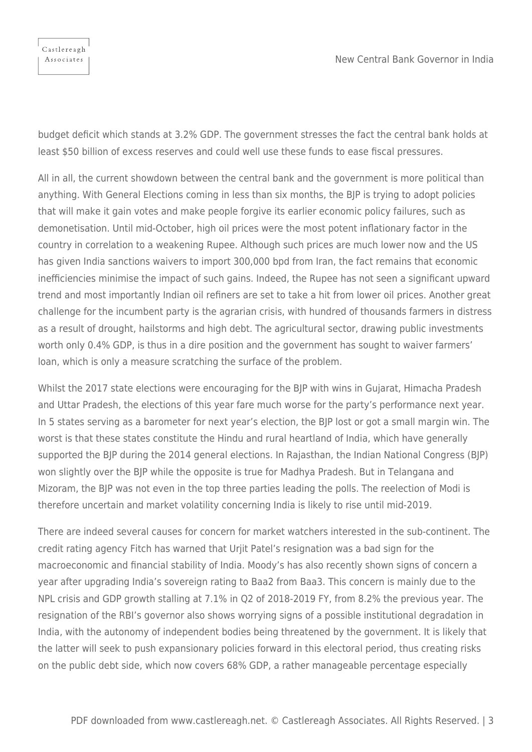

budget deficit which stands at 3.2% GDP. The government stresses the fact the central bank holds at least \$50 billion of excess reserves and could well use these funds to ease fiscal pressures.

All in all, the current showdown between the central bank and the government is more political than anything. With General Elections coming in less than six months, the BJP is trying to adopt policies that will make it gain votes and make people forgive its earlier economic policy failures, such as demonetisation. Until mid-October, high oil prices were the most potent inflationary factor in the country in correlation to a weakening Rupee. Although such prices are much lower now and the US has given India sanctions waivers to import 300,000 bpd from Iran, the fact remains that economic inefficiencies minimise the impact of such gains. Indeed, the Rupee has not seen a significant upward trend and most importantly Indian oil refiners are set to take a hit from lower oil prices. Another great challenge for the incumbent party is the agrarian crisis, with hundred of thousands farmers in distress as a result of drought, hailstorms and high debt. The agricultural sector, drawing public investments worth only 0.4% GDP, is thus in a dire position and the government has sought to waiver farmers' loan, which is only a measure scratching the surface of the problem.

Whilst the 2017 state elections were encouraging for the BJP with wins in Gujarat, Himacha Pradesh and Uttar Pradesh, the elections of this year fare much worse for the party's performance next year. In 5 states serving as a barometer for next year's election, the BJP lost or got a small margin win. The worst is that these states constitute the Hindu and rural heartland of India, which have generally supported the BJP during the 2014 general elections. In Rajasthan, the Indian National Congress (BJP) won slightly over the BJP while the opposite is true for Madhya Pradesh. But in Telangana and Mizoram, the BJP was not even in the top three parties leading the polls. The reelection of Modi is therefore uncertain and market volatility concerning India is likely to rise until mid-2019.

There are indeed several causes for concern for market watchers interested in the sub-continent. The credit rating agency Fitch has warned that Urjit Patel's resignation was a bad sign for the macroeconomic and financial stability of India. Moody's has also recently shown signs of concern a year after upgrading India's sovereign rating to Baa2 from Baa3. This concern is mainly due to the NPL crisis and GDP growth stalling at 7.1% in Q2 of 2018-2019 FY, from 8.2% the previous year. The resignation of the RBI's governor also shows worrying signs of a possible institutional degradation in India, with the autonomy of independent bodies being threatened by the government. It is likely that the latter will seek to push expansionary policies forward in this electoral period, thus creating risks on the public debt side, which now covers 68% GDP, a rather manageable percentage especially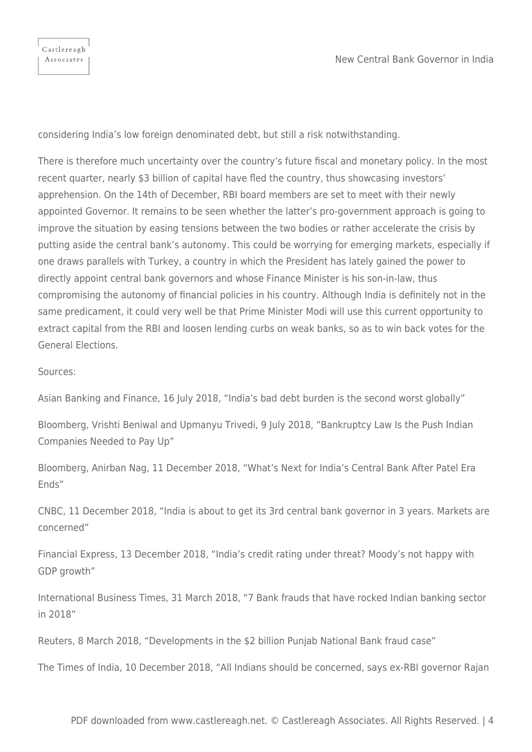considering India's low foreign denominated debt, but still a risk notwithstanding.

There is therefore much uncertainty over the country's future fiscal and monetary policy. In the most recent quarter, nearly \$3 billion of capital have fled the country, thus showcasing investors' apprehension. On the 14th of December, RBI board members are set to meet with their newly appointed Governor. It remains to be seen whether the latter's pro-government approach is going to improve the situation by easing tensions between the two bodies or rather accelerate the crisis by putting aside the central bank's autonomy. This could be worrying for emerging markets, especially if one draws parallels with Turkey, a country in which the President has lately gained the power to directly appoint central bank governors and whose Finance Minister is his son-in-law, thus compromising the autonomy of financial policies in his country. Although India is definitely not in the same predicament, it could very well be that Prime Minister Modi will use this current opportunity to extract capital from the RBI and loosen lending curbs on weak banks, so as to win back votes for the General Elections.

Sources:

Asian Banking and Finance, 16 July 2018, "India's bad debt burden is the second worst globally"

Bloomberg, Vrishti Beniwal and Upmanyu Trivedi, 9 July 2018, "Bankruptcy Law Is the Push Indian Companies Needed to Pay Up"

Bloomberg, Anirban Nag, 11 December 2018, "What's Next for India's Central Bank After Patel Era Ends"

CNBC, 11 December 2018, "India is about to get its 3rd central bank governor in 3 years. Markets are concerned"

Financial Express, 13 December 2018, "India's credit rating under threat? Moody's not happy with GDP growth"

International Business Times, 31 March 2018, "7 Bank frauds that have rocked Indian banking sector in 2018"

Reuters, 8 March 2018, "Developments in the \$2 billion Punjab National Bank fraud case"

The Times of India, 10 December 2018, "All Indians should be concerned, says ex-RBI governor Rajan